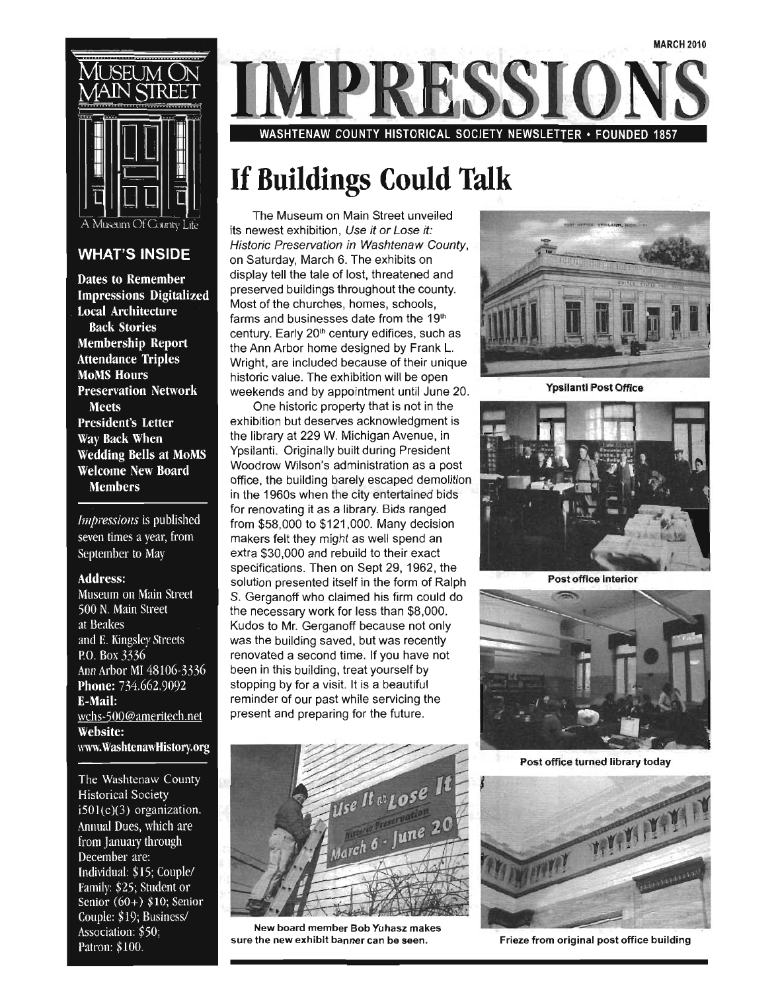

#### **WHAT'S INSIDE**

**Dates to Remember Impressions Digitalized Local Architecture Back Stories Membership Report Attendance Triples MoMS Hours Preservation Network Meets President's Letter** Way Back When **Wedding Bells at MoMS Welcome New Board Members** 

Impressions is published seven times a year, from September to May

#### **Address:**

Museum on Main Street 500 N. Main Street at Beakes and E. Kingsley Streets P.O. Box 3336 Ann Arbor MI 48106-3336 Phone: 734.662.9092 **E-Mail:** wchs-500@ameritech.net **Website:** www.WashtenawHistory.org

The Washtenaw County **Historical Society**  $i501(c)(3)$  organization. Annual Dues, which are from January through December are: Individual: \$15; Couple/ Family: \$25; Student or Senior  $(60+)$  \$10; Senior Couple: \$19; Business/ Association: \$50; Patron: \$100.

WASHTENAW COUNTY HISTORICAL SOCIETY NEWSLETTER • FOUNDED

#### **If Buildings Could Talk**

The Museum on Main Street unveiled its newest exhibition, Use it or Lose it: Historic Preservation in Washtenaw County, on Saturday, March 6. The exhibits on display tell the tale of lost, threatened and preserved buildings throughout the county. Most of the churches, homes, schools, farms and businesses date from the  $19<sup>th</sup>$ century. Early 20<sup>th</sup> century edifices, such as the Ann Arbor home designed by Frank L. Wright, are included because of their unique historic value. The exhibition will be open weekends and by appointment until June 20.

One historic property that is not in the exhibition but deserves acknowledgment is the library at 229 W. Michigan Avenue, in Ypsilanti. Originally built during President Woodrow Wilson's administration as a post office, the building barely escaped demolition in the 1960s when the city entertained bids for renovating it as a library. Bids ranged from \$58,000 to \$121,000. Many decision makers felt they might as well spend an extra \$30,000 and rebuild to their exact specifications. Then on Sept 29, 1962, the solution presented itself in the form of Ralph S. Gerganoff who claimed his firm could do the necessary work for less than \$8,000. Kudos to Mr. Gerganoff because not only was the building saved, but was recently renovated a second time. If you have not been in this building, treat yourself by stopping by for a visit. It is a beautiful reminder of our past while servicing the present and preparing for the future.



New board member Bob Yuhasz makes sure the new exhibit banner can be seen.



Ypsilanti Post Office



Post office interior



Post office turned library today



Frieze from original post office building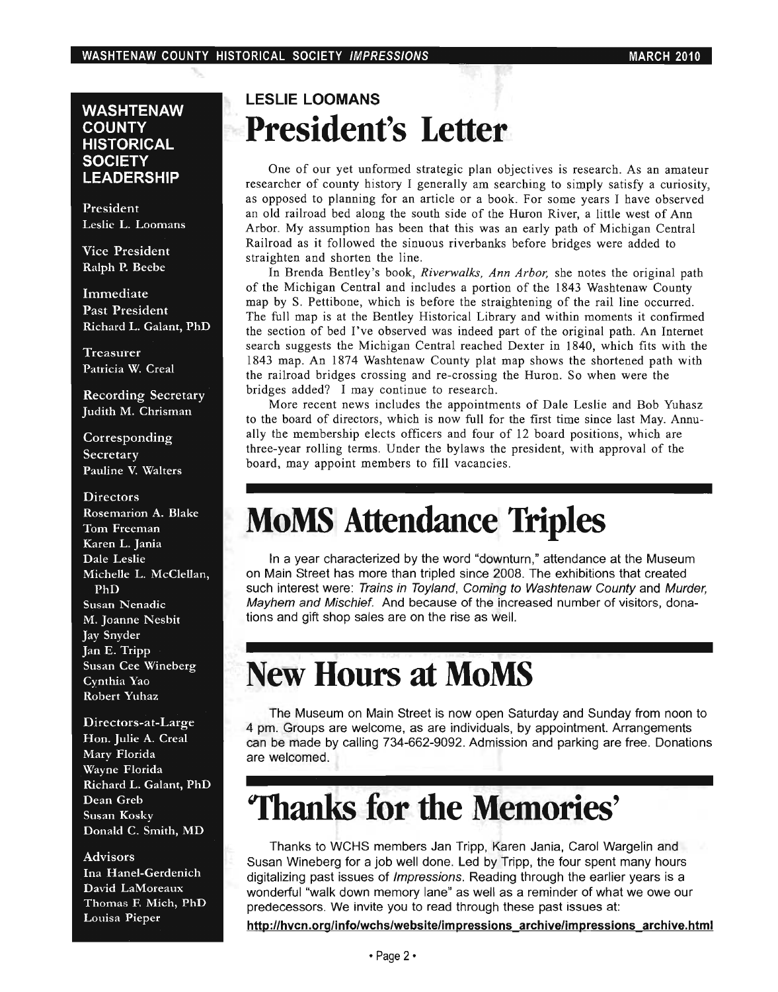#### **WASHTENAW COUNTY HISTORICAL SOCIETY LEADERSHIP**

President Leslie L. Loomans

Vice President Ralph P. Beebe

Immediate Past President Richard L. Galant, PhD

Treasurer Patricia W. Creal

Recording Secretary Judith M. Chrisman

Corresponding Secretary Pauline V. Walters

#### **Directors** Rosemarion A. Blake

Tom Freeman Karen L. Jania Dale Leslie Michelle L. McClellan, PhD Susan Nenadic M. Joanne Nesbit Jay Snyder Jan E. Tripp Susan Cee Wineberg Cynthia Yao Robert Yuhaz

Directors-at-Large Hon. Julie A. Creal Mary Florida Wayne Florida Richard L. Galant, PhD Dean Greb Susan Kosky Donald C. Smith, MD

#### Advisors

Ina Hanel-Gerdenich David LaMoreaux Thomas F. Mich, PhD Louisa Pieper

#### **LESLIE LOOMANS President's Letter**

One of our yet unformed strategic plan objectives is research. As an amateur researcher of county history I generally am searching to simply satisfy a curiosity, as opposed to planning for an article or a book. For some years I have observed an old railroad bed along the south side of the Huron River, a little west of Ann Arbor. My assumption has been that this was an early path of Michigan Central Railroad as it followed the sinuous riverbanks before bridges were added to straighten and shorten the line.

In Brenda Bentley's book, *Riverwalks, Ann Arbor,* she notes the original path of the Michigan Central and includes a portion of the 1843 Washtenaw County map by S. Pettibone, which is before the straightening of the rail line occurred. The full map is at the Bentley Historical Library and within moments it confirmed the section of bed I've observed was indeed part of the original path. An Internet search suggests the Michigan Central reached Dexter in 1840, which fits with the 1843 map. An 1874 Washtenaw County plat map shows the shortened path with the railroad bridges crossing and re-crossing the Huron. So when were the bridges added? I may continue to research.

More recent news includes the appointments of Dale Leslie and Bob Yuhasz to the board of directors, which is now full for the first time since last May. Annually the membership elects officers and four of 12 board positions, which are three-year rolling terms. Under the bylaws the president, with approval of the board, may appoint members to fill vacancies.

### **MoMS Attendance Triples**

In a year characterized by the word "downturn," attendance at the Museum on Main Street has more than tripled since 2008. The exhibitions that created such interest were: Trains in Toyland, Coming to Washtenaw County and Murder, Mayhem and Mischief. And because of the increased number of visitors, donations and gift shop sales are on the rise as well.

### **New Hours at MoMS**

The Museum on Main Street is now open Saturday and Sunday from noon to 4 pm. Groups are welcome, as are individuals, by appointment. Arrangements can be made by calling 734-662-9092. Admission and parking are free. Donations are welcomed.

## **'Thanks for the Memories'**

Thanks to WCHS members Jan Tripp, Karen Jania, Carol Wargelin and Susan Wineberg for a job well done. Led by Tripp, the four spent many hours digitalizing past issues of Impressions. Reading through the earlier years is a wonderful "walk down memory lane" as well as a reminder of what we owe our predecessors. We invite you to read through these past issues at:

http://hvcn.org/info/wchs/website/impressions archive/impressions archive.html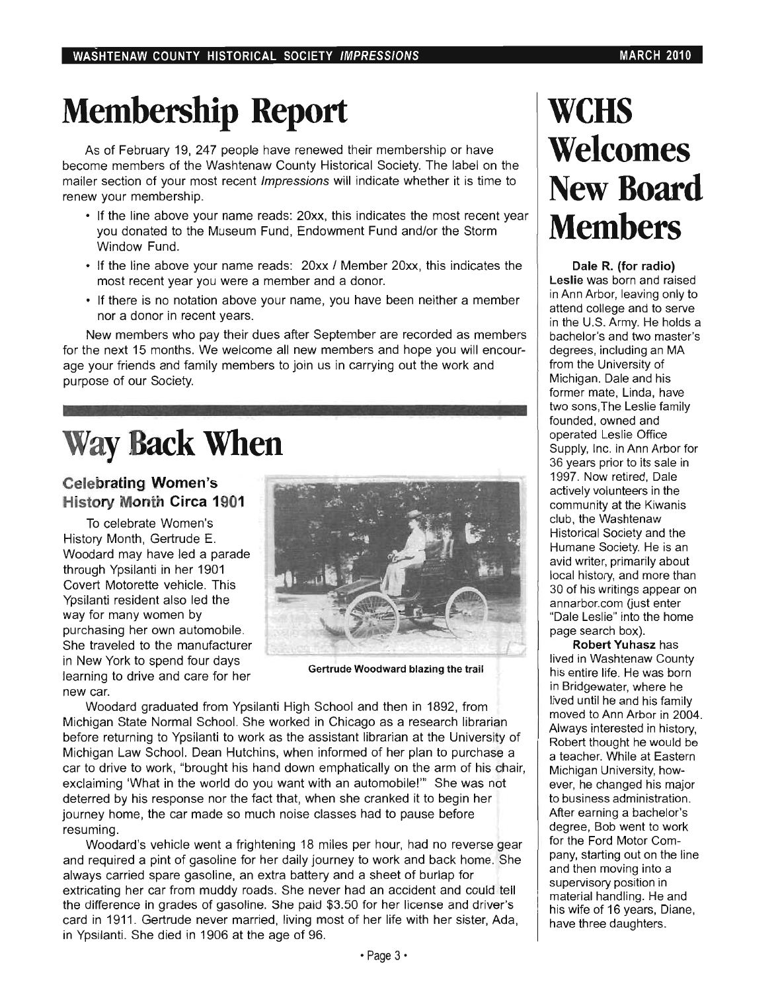# **Membership Report**

As of February 19, 247 people have renewed their membership or have become members of the Washtenaw County Historical Society. The label on the mailer section of your most recent Impressions will indicate whether it is time to renew your membership.

- If the line above your name reads: 20xx, this indicates the most recent year you donated to the Museum Fund, Endowment Fund and/or the Storm Window Fund.
- If the line above your name reads: 20xx / Member 20xx, this indicates the most recent year you were a member and a donor.
- If there is no notation above your name, you have been neither a member nor a donor in recent years.

New members who pay their dues after September are recorded as members for the next 15 months. We welcome all new members and hope you will encourage your friends and family members to join us in carrying out the work and purpose of our Society.

# **Way Back When**

#### Celebrating Women's History Month Circa 1901

To celebrate Women's History Month, Gertrude E. Woodard may have led a parade through Ypsilanti in her 1901 Covert Motorette vehicle. This Ypsilanti resident also led the way for many women by purchasing her own automobile. She traveled to the manufacturer in New York to spend four days learning to drive and care for her new car.



Gertrude Woodward blazing the trail

Woodard graduated from Ypsilanti High School and then in 1892, from Michigan State Normal School. She worked in Chicago as a research librarian before returning to Ypsilanti to work as the assistant librarian at the University of Michigan Law School. Dean Hutchins, when informed of her plan to purchase a car to drive to work, "brought his hand down emphatically on the arm of his chair, exclaiming 'What in the world do you want with an automobile!'" She was not deterred by his response nor the fact that, when she cranked it to begin her journey home, the car made so much noise classes had to pause before resuming.

Woodard's vehicle went a frightening 18 miles per hour, had no reverse gear and required a pint of gasoline for her daily journey to work and back home. She always carried spare gasoline, an extra battery and a sheet of burlap for extricating her car from muddy roads. She never had an accident and could tell the difference in grades of gasoline. She paid \$3.50 for her license and driver's card in 1911. Gertrude never married, living most of her life with her sister, Ada, in Ypsilanti. She died in 1906 at the age of 96.

## **wens Welcomes**  New Board **Members**

Dale R. (for radio) Leslie was born and raised in Ann Arbor, leaving only to attend college and to serve in the U.S. Army. He holds a bachelor's and two master's degrees, including an MA from the University of Michigan. Dale and his former mate, Linda, have two sons,The Leslie family founded, owned and operated Leslie Office Supply, Inc. in Ann Arbor for 36 years prior to its sale in 1997. Now retired, Dale actively volunteers in the community at the Kiwanis club, the Washtenaw Historical Society and the Humane Society. He is an avid writer, primarily about local history, and more than 30 of his writings appear on annarbor.com (just enter "Dale Leslie" into the home page search box).

Robert Yuhasz has lived in Washtenaw County his entire life. He was born in Bridgewater, where he lived until he and his family moved to Ann Arbor in 2004. Always interested in history, Robert thought he would be a teacher. While at Eastern Michigan University, however, he changed his major to business administration. After earning a bachelor's degree, Bob went to work for the Ford Motor Company, starting out on the line and then moving into a supervisory position in material handling. He and his wife of 16 years, Diane, have three daughters.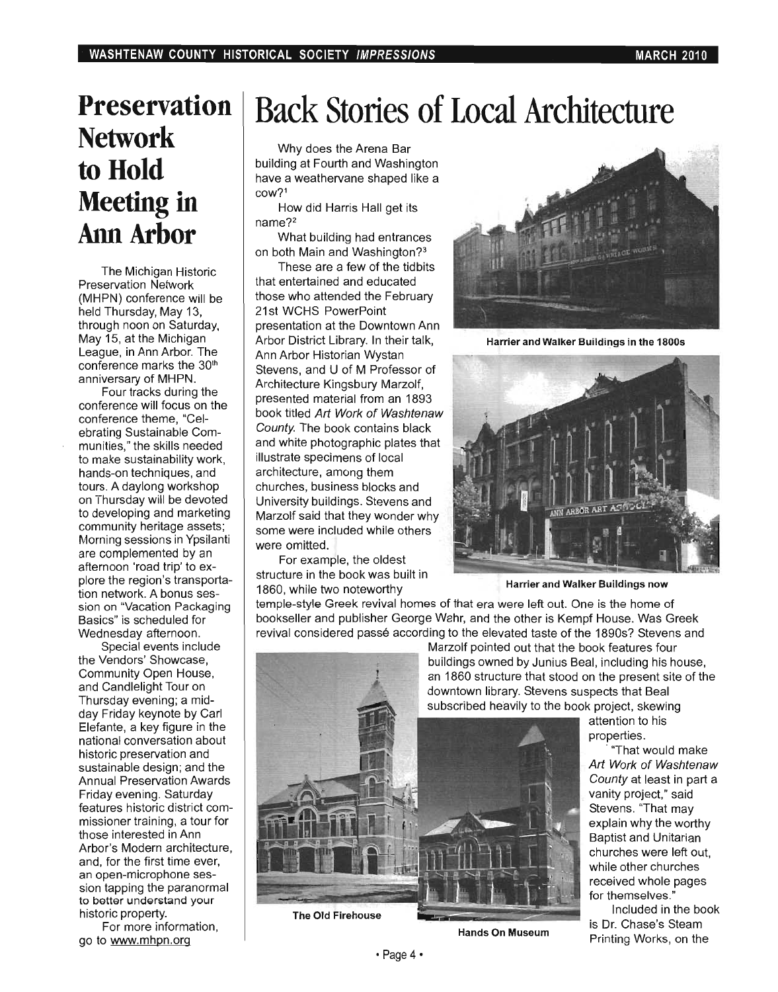#### **Preservation Network to Hold Meeting in**  Ann Arbor

The Michigan Historic Preservation Network (MHPN) conference will be held Thursday, May 13, through noon on Saturday, May 15, at the Michigan League, in Ann Arbor. The conference marks the 30<sup>th</sup> anniversary of MHPN.

Four tracks during the conference will focus on the conference theme, "Celebrating Sustainable Communities," the skills needed to make sustainability work, hands-on techniques, and tours. A daylong workshop on Thursday will be devoted to developing and marketing community heritage assets; Morning sessions in Ypsilanti are complemented by an afternoon 'road trip' to explore the region's transportation network. A bonus session on "Vacation Packaging Basics" is scheduled for Wednesday afternoon.

Special events include the Vendors' Showcase, Community Open House, and Candlelight Tour on Thursday evening; a midday Friday keynote by Carl Elefante, a key figure in the national conversation about historic preservation and sustainable design; and the Annual Preservation Awards Friday evening. Saturday features historic district commissioner training, a tour for those interested in Ann Arbor's Modern architecture, and, for the first time ever, an open-microphone session tapping the paranormal to better understand your historic property.

For more information, go to www.mhpn.org

# **Back Stories of Local Architecture**

Why does the Arena Bar building at Fourth and Washington have a weathervane shaped like a COW?1

How did Harris Hall get its name?2

What building had entrances on both Main and Washington?3

These are a few of the tidbits that entertained and educated those who attended the February 21st WCHS PowerPoint presentation at the Downtown Ann Arbor District Library. In their talk, Ann Arbor Historian Wystan Stevens, and U of M Professor of Architecture Kingsbury Marzolf, presented material from an 1893 book titled Art Work of Washtenaw County. The book contains black and white photographic plates that illustrate specimens of local architecture, among them churches, business blocks and University buildings. Stevens and Marzolf said that they wonder why some were included while others were omitted.

For example, the oldest structure in the book was built in 1860, while two noteworthy



Harrier and Walker Buildings in the 1800s



Harrier and Walker Buildings now

temple-style Greek revival homes of that era were left out. One is the home of bookseller and publisher George Wahr, and the other is Kempf House. Was Greek revival considered passé according to the elevated taste of the 1890s? Stevens and

Marzolf pointed out that the book features four buildings owned by Junius Beal, including his house, an 1860 structure that stood on the present site of the downtown library. Stevens suspects that Beal subscribed heavily to the book project, skewing

attention to his properties.

"That would make Art Work of Washtenaw County at least in part a vanity project," said Stevens. "That may explain why the worthy Baptist and Unitarian churches were left out, while other churches received whole pages for themselves."

Included in the book is Dr. Chase's Steam Printing Works, on the



• Page 4·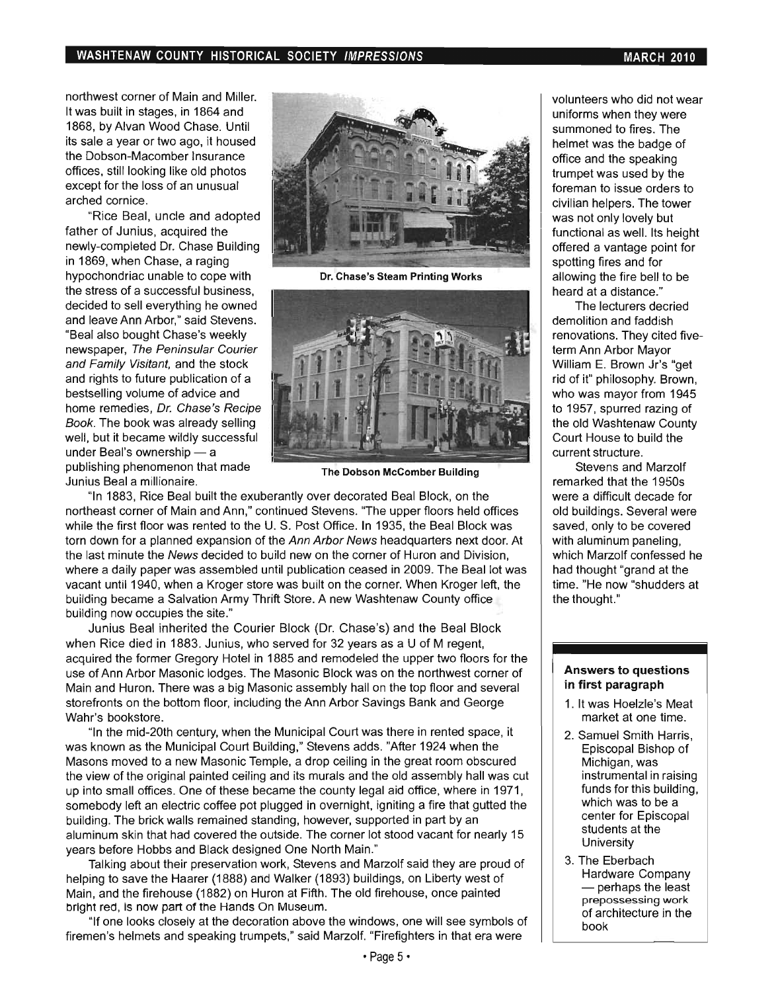northwest corner of Main and Miller. It was built in stages, in 1864 and 1868, by Alvan Wood Chase. Until its sale a year or two ago, it housed the Dobson-Macomber Insurance offices, still looking like old photos except for the loss of an unusual arched cornice.

"Rice Beal, uncle and adopted father of Junius, acquired the newly-completed Dr. Chase Building in 1869, when Chase, a raging hypochondriac unable to cope with the stress of a successful business, decided to sell everything he owned and leave Ann Arbor," said Stevens. "Beal also bought Chase's weekly newspaper, The Peninsular Courier and Family Visitant, and the stock and rights to future publication of a bestselling volume of advice and home remedies, Dr. Chase's Recipe Book. The book was already selling well, but it became wildly successful under Beal's ownership  $-$  a publishing phenomenon that made Junius Beal a millionaire.



Dr. Chase's Steam Printing Works



The Dobson McComber Building

"In 1883, Rice Beal built the exuberantly over decorated Beal Block, on the northeast corner of Main and Ann," continued Stevens. "The upper floors held offices while the first floor was rented to the U. S. Post Office. In 1935, the Beal Block was torn down for a planned expansion of the Ann Arbor News headquarters next door. At the last minute the News decided to build new on the corner of Huron and Division, where a daily paper was assembled until publication ceased in 2009. The Beal lot was vacant until 1940, when a Kroger store was built on the corner. When Kroger left, the building became a Salvation Army Thrift Store. A new Washtenaw County office building now occupies the site."

Junius Beal inherited the Courier Block (Dr. Chase's) and the Beal Block when Rice died in 1883. Junius, who served for 32 years as a U of M regent, acquired the former Gregory Hotel in 1885 and remodeled the upper two floors for the use of Ann Arbor Masonic lodges. The Masonic Block was on the northwest corner of Main and Huron. There was a big Masonic assembly hall on the top floor and several storefronts on the bottom floor, including the Ann Arbor Savings Bank and George Wahr's bookstore.

"In the mid-20th century, when the Municipal Court was there in rented space, it was known as the Municipal Court Building," Stevens adds. "After 1924 when the Masons moved to a new Masonic Temple, a drop ceiling in the great room obscured the view of the original painted ceiling and its murals and the old assembly hall was cut up into small offices. One of these became the county legal aid office, where in 1971, somebody left an electric coffee pot plugged in overnight, igniting a fire that gutted the building. The brick walls remained standing, however, supported in part by an aluminum skin that had covered the outside. The corner lot stood vacant for nearly 15 years before Hobbs and Black designed One North Main."

Talking about their preservation work, Stevens and Marzolf said they are proud of helping to save the Haarer (1888) and Walker (1893) buildings, on Liberty west of Main, and the firehouse (1882) on Huron at Fifth. The old firehouse, once painted bright red, is now part of the Hands On Museum.

"If one looks closely at the decoration above the windows, one will see symbols of firemen's helmets and speaking trumpets," said Marzolf. "Firefighters in that era were

volunteers who did not wear uniforms when they were summoned to fires. The helmet was the badge of office and the speaking trumpet was used by the foreman to issue orders to civilian helpers. The tower was not only lovely but functional as well. Its height offered a vantage point for spotting fires and for allowing the fire bell to be heard at a distance."

The lecturers decried demolition and faddish renovations. They cited fiveterm Ann Arbor Mayor William E. Brown Jr's "get rid of it" philosophy. Brown, who was mayor from 1945 to 1957, spurred razing of the old Washtenaw County Court House to build the current structure.

Stevens and Marzolf remarked that the 1950s were a difficult decade for old buildings. Several were saved, only to be covered with aluminum paneling, which Marzolf confessed he had thought "grand at the time. "He now "shudders at the thought."

#### Answers to questions in first paragraph

- 1. It was Hoelzle's Meat market at one time.
- 2. Samuel Smith Harris, Episcopal Bishop of Michigan, was instrumental in raising funds for this building, which was to be a center for Episcopal students at the **University**
- 3. The Eberbach Hardware Company  $-$  perhaps the least prepossessing work of architecture in the book